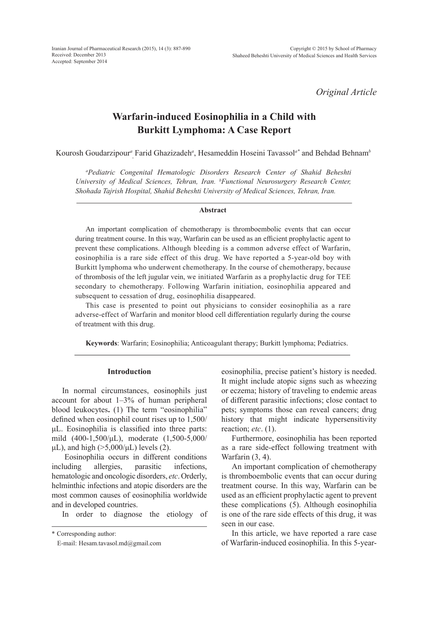*Original Article*

# **Warfarin-induced Eosinophilia in a Child with Burkitt Lymphoma: A Case Report**

Kourosh Goudarzipour*<sup>a</sup>* , Farid Ghazizadeh*<sup>a</sup>* , Hesameddin Hoseini Tavassol*a\** and Behdad Behnam*<sup>b</sup>*

*a Pediatric Congenital Hematologic Disorders Research Center of Shahid Beheshti University of Medical Sciences, Tehran, Iran. b Functional Neurosurgery Research Center, Shohada Tajrish Hospital, Shahid Beheshti University of Medical Sciences, Tehran, Iran.*

## **Abstract**

An important complication of chemotherapy is thromboembolic events that can occur during treatment course. In this way, Warfarin can be used as an efficient prophylactic agent to prevent these complications. Although bleeding is a common adverse effect of Warfarin, eosinophilia is a rare side effect of this drug. We have reported a 5-year-old boy with Burkitt lymphoma who underwent chemotherapy. In the course of chemotherapy, because of thrombosis of the left jugular vein, we initiated Warfarin as a prophylactic drug for TEE secondary to chemotherapy. Following Warfarin initiation, eosinophilia appeared and subsequent to cessation of drug, eosinophilia disappeared.

This case is presented to point out physicians to consider eosinophilia as a rare adverse-effect of Warfarin and monitor blood cell differentiation regularly during the course of treatment with this drug.

**Keywords**: Warfarin; Eosinophilia; Anticoagulant therapy; Burkitt lymphoma; Pediatrics.

## **Introduction**

In normal circumstances, eosinophils just account for about 1–3% of human peripheral blood leukocytes**.** (1) The term "eosinophilia" defined when eosinophil count rises up to 1,500/ μL. Eosinophilia is classified into three parts: mild (400-1,500/μL), moderate (1,500-5,000/ μL), and high  $($ >5,000/μL) levels (2).

Eosinophilia occurs in different conditions including allergies, parasitic infections, hematologic and oncologic disorders, *etc*. Orderly, helminthic infections and atopic disorders are the most common causes of eosinophilia worldwide and in developed countries.

In order to diagnose the etiology of

\* Corresponding author:

E-mail: Hesam.tavasol.md@gmail.com

eosinophilia, precise patient's history is needed. It might include atopic signs such as wheezing or eczema; history of traveling to endemic areas of different parasitic infections; close contact to pets; symptoms those can reveal cancers; drug history that might indicate hypersensitivity reaction; *etc*. (1).

Furthermore, eosinophilia has been reported as a rare side-effect following treatment with Warfarin (3, 4).

An important complication of chemotherapy is thromboembolic events that can occur during treatment course. In this way, Warfarin can be used as an efficient prophylactic agent to prevent these complications (5). Although eosinophilia is one of the rare side effects of this drug, it was seen in our case.

In this article, we have reported a rare case of Warfarin-induced eosinophilia. In this 5-year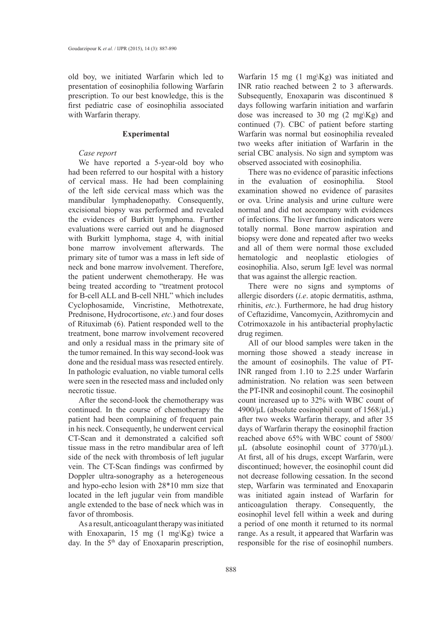old boy, we initiated Warfarin which led to presentation of eosinophilia following Warfarin prescription. To our best knowledge, this is the first pediatric case of eosinophilia associated with Warfarin therapy.

## **Experimental**

## *Case report*

We have reported a 5-year-old boy who had been referred to our hospital with a history of cervical mass. He had been complaining of the left side cervical mass which was the mandibular lymphadenopathy. Consequently, excisional biopsy was performed and revealed the evidences of Burkitt lymphoma. Further evaluations were carried out and he diagnosed with Burkitt lymphoma, stage 4, with initial bone marrow involvement afterwards. The primary site of tumor was a mass in left side of neck and bone marrow involvement. Therefore, the patient underwent chemotherapy. He was being treated according to "treatment protocol for B-cell ALL and B-cell NHL" which includes Cyclophosamide, Vincristine, Methotrexate, Prednisone, Hydrocortisone, *etc*.) and four doses of Rituximab (6). Patient responded well to the treatment, bone marrow involvement recovered and only a residual mass in the primary site of the tumor remained. In this way second-look was done and the residual mass was resected entirely. In pathologic evaluation, no viable tumoral cells were seen in the resected mass and included only necrotic tissue.

After the second-look the chemotherapy was continued. In the course of chemotherapy the patient had been complaining of frequent pain in his neck. Consequently, he underwent cervical CT-Scan and it demonstrated a calcified soft tissue mass in the retro mandibular area of left side of the neck with thrombosis of left jugular vein. The CT-Scan findings was confirmed by Doppler ultra-sonography as a heterogeneous and hypo-echo lesion with 28\*10 mm size that located in the left jugular vein from mandible angle extended to the base of neck which was in favor of thrombosis.

As a result, anticoagulant therapy was initiated with Enoxaparin, 15 mg (1 mg\Kg) twice a day. In the  $5<sup>th</sup>$  day of Enoxaparin prescription,

Warfarin 15 mg (1 mg\Kg) was initiated and INR ratio reached between 2 to 3 afterwards. Subsequently, Enoxaparin was discontinued 8 days following warfarin initiation and warfarin dose was increased to 30 mg  $(2 \text{ mg/Kg})$  and continued (7). CBC of patient before starting Warfarin was normal but eosinophilia revealed two weeks after initiation of Warfarin in the serial CBC analysis. No sign and symptom was observed associated with eosinophilia.

There was no evidence of parasitic infections in the evaluation of eosinophilia. Stool examination showed no evidence of parasites or ova. Urine analysis and urine culture were normal and did not accompany with evidences of infections. The liver function indicators were totally normal. Bone marrow aspiration and biopsy were done and repeated after two weeks and all of them were normal those excluded hematologic and neoplastic etiologies of eosinophilia. Also, serum IgE level was normal that was against the allergic reaction.

There were no signs and symptoms of allergic disorders (*i.e*. atopic dermatitis, asthma, rhinitis, *etc*.). Furthermore, he had drug history of Ceftazidime, Vancomycin, Azithromycin and Cotrimoxazole in his antibacterial prophylactic drug regimen.

All of our blood samples were taken in the morning those showed a steady increase in the amount of eosinophils. The value of PT-INR ranged from 1.10 to 2.25 under Warfarin administration. No relation was seen between the PT-INR and eosinophil count. The eosinophil count increased up to 32% with WBC count of 4900/μL (absolute eosinophil count of 1568/μL) after two weeks Warfarin therapy, and after 35 days of Warfarin therapy the eosinophil fraction reached above 65% with WBC count of 5800/ μL (absolute eosinophil count of  $3770/\mu$ L). At first, all of his drugs, except Warfarin, were discontinued; however, the eosinophil count did not decrease following cessation. In the second step, Warfarin was terminated and Enoxaparin was initiated again instead of Warfarin for anticoagulation therapy. Consequently, the eosinophil level fell within a week and during a period of one month it returned to its normal range. As a result, it appeared that Warfarin was responsible for the rise of eosinophil numbers.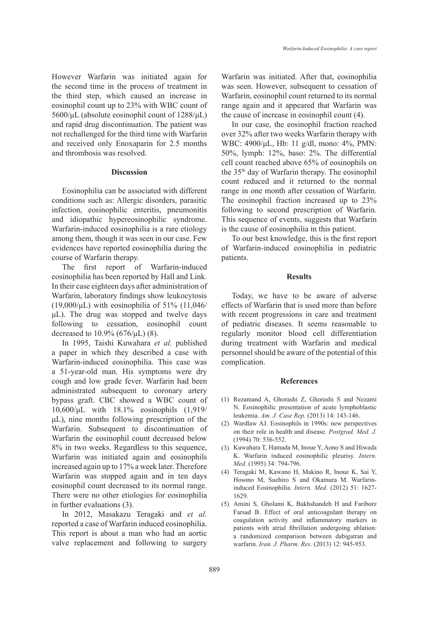However Warfarin was initiated again for the second time in the process of treatment in the third step, which caused an increase in eosinophil count up to 23% with WBC count of 5600/μL (absolute eosinophil count of 1288/μL) and rapid drug discontinuation. The patient was not rechallenged for the third time with Warfarin and received only Enoxaparin for 2.5 months and thrombosis was resolved.

#### **Discussion**

Eosinophilia can be associated with different conditions such as: Allergic disorders, parasitic infection, eosinophilic enteritis, pneumonitis and idiopathic hypereosinophilic syndrome. Warfarin-induced eosinophilia is a rare etiology among them, though it was seen in our case. Few evidences have reported eosinophilia during the course of Warfarin therapy.

The first report of Warfarin-induced eosinophilia has been reported by Hall and Link. In their case eighteen days after administration of Warfarin, laboratory findings show leukocytosis  $(19,000/\mu L)$  with eosinophilia of 51% (11,046/ μL). The drug was stopped and twelve days following to cessation, eosinophil count decreased to 10.9% (676/μL) (8).

In 1995, Taishi Kuwahara *et al.* published a paper in which they described a case with Warfarin-induced eosinophilia. This case was a 51-year-old man. His symptoms were dry cough and low grade fever. Warfarin had been administrated subsequent to coronary artery bypass graft. CBC showed a WBC count of 10,600/μL with 18.1% eosinophils (1,919/ μL), nine months following prescription of the Warfarin. Subsequent to discontinuation of Warfarin the eosinophil count decreased below 8% in two weeks. Regardless to this sequence, Warfarin was initiated again and eosinophils increased again up to 17% a week later. Therefore Warfarin was stopped again and in ten days eosinophil count decreased to its normal range. There were no other etiologies for eosinophilia in further evaluations (3).

In 2012, Masakazu Teragaki and *et al.*  reported a case of Warfarin induced eosinophilia. This report is about a man who had an aortic valve replacement and following to surgery Warfarin was initiated. After that, eosinophilia was seen. However, subsequent to cessation of Warfarin, eosinophil count returned to its normal range again and it appeared that Warfarin was the cause of increase in eosinophil count (4).

In our case, the eosinophil fraction reached over 32% after two weeks Warfarin therapy with WBC: 4900/μL, Hb: 11 g/dl, mono: 4%, PMN: 50%, lymph: 12%, baso: 2%. The differential cell count reached above 65% of eosinophils on the 35th day of Warfarin therapy. The eosinophil count reduced and it returned to the normal range in one month after cessation of Warfarin. The eosinophil fraction increased up to 23% following to second prescription of Warfarin. This sequence of events, suggests that Warfarin is the cause of eosinophilia in this patient.

To our best knowledge, this is the first report of Warfarin-induced eosinophilia in pediatric patients.

#### **Results**

Today, we have to be aware of adverse effects of Warfarin that is used more than before with recent progressions in care and treatment of pediatric diseases. It seems reasonable to regularly monitor blood cell differentiation during treatment with Warfarin and medical personnel should be aware of the potential of this complication.

#### **References**

- Rezamand A, Ghorashi Z, Ghorashi S and Nezami (1) N. Eosinophilic presentation of acute lymphoblastic leukemia. *Am. J. Case Rep.* (2013) 14: 143-146.
- Wardlaw AJ. Eosinophils in 1990s: new perspectives (2) on their role in health and disease. *Postgrad. Med. J.* (1994) 70: 536-552.
- (3) Kuwahara T, Hamada M, Inoue Y, Aono S and Hiwada K. Warfarin induced eosinophilic pleurisy. *Intern. Med*. (1995) 34: 794-796.
- Teragaki M, Kawano H, Makino R, Inoue K, Sai Y, (4) Hosono M, Suehiro S and Okamura M. Warfarininduced Eosinophilia. *Intern. Med*. (2012) 51: 1627- 1629.
- Amini S, Gholami K, Bakhshandeh H and Fariborz (5)Farsad B. Effect of oral anticoagulant therapy on coagulation activity and inflammatory markers in patients with atrial fibrillation undergoing ablation: a randomized comparison between dabigatran and warfarin. *Iran. J. Pharm. Res*. (2013) 12: 945-953.